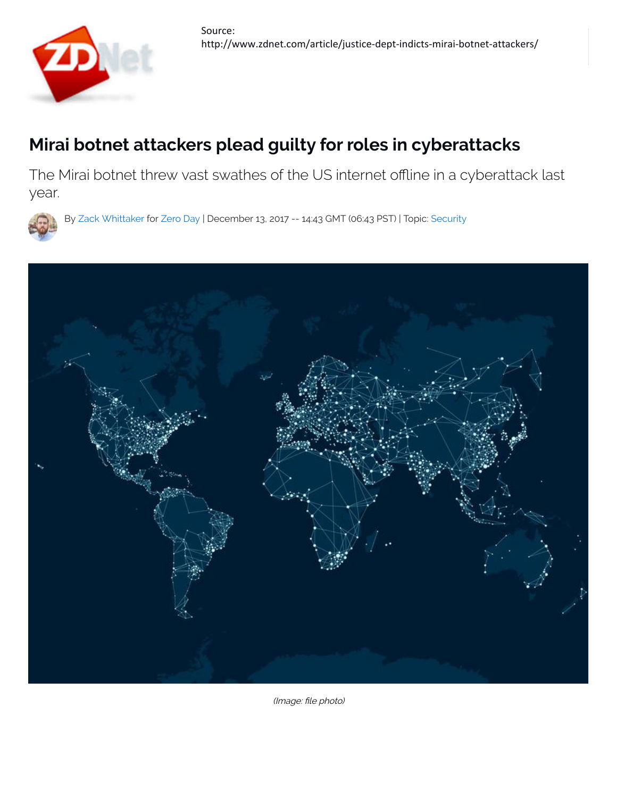

## **Mirai botnet attackers plead guilty for roles in cyberattacks**

The Mirai botnet threw vast swathes of the US internet offline in a cyberattack last year.



By Zack Whittaker for Zero Day | December 13, 2017 -- 14:43 GMT (06:43 PST) | Topic: Security



(Image: file photo)